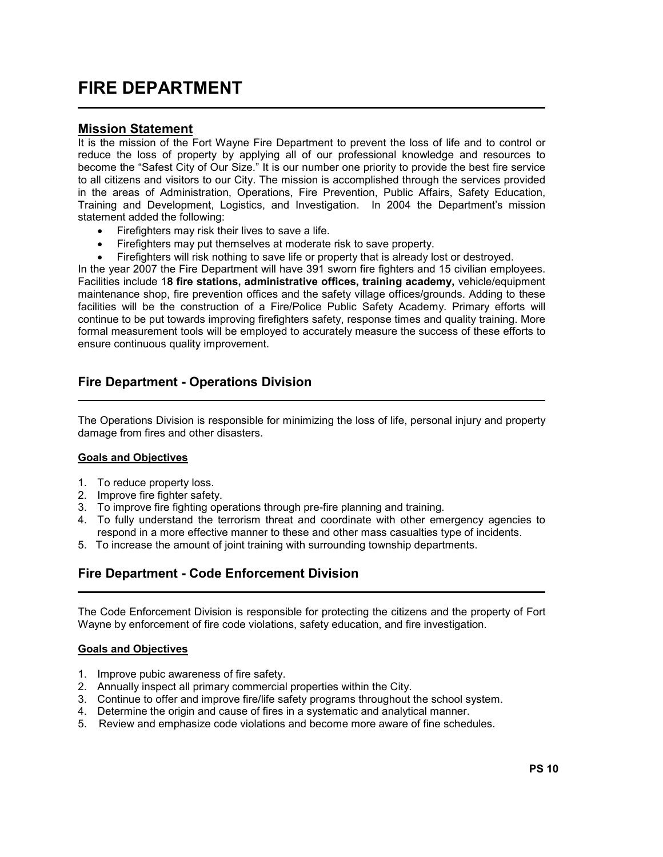# FIRE DEPARTMENT

### Mission Statement

l,

It is the mission of the Fort Wayne Fire Department to prevent the loss of life and to control or reduce the loss of property by applying all of our professional knowledge and resources to become the "Safest City of Our Size." It is our number one priority to provide the best fire service to all citizens and visitors to our City. The mission is accomplished through the services provided in the areas of Administration, Operations, Fire Prevention, Public Affairs, Safety Education, Training and Development, Logistics, and Investigation. In 2004 the Department's mission statement added the following:

- Firefighters may risk their lives to save a life.
- Firefighters may put themselves at moderate risk to save property.
- Firefighters will risk nothing to save life or property that is already lost or destroyed.

In the year 2007 the Fire Department will have 391 sworn fire fighters and 15 civilian employees. Facilities include 18 fire stations, administrative offices, training academy, vehicle/equipment maintenance shop, fire prevention offices and the safety village offices/grounds. Adding to these facilities will be the construction of a Fire/Police Public Safety Academy. Primary efforts will continue to be put towards improving firefighters safety, response times and quality training. More formal measurement tools will be employed to accurately measure the success of these efforts to ensure continuous quality improvement.

### Fire Department - Operations Division

The Operations Division is responsible for minimizing the loss of life, personal injury and property damage from fires and other disasters.

#### Goals and Objectives

- 1. To reduce property loss.
- 2. Improve fire fighter safety.
- 3. To improve fire fighting operations through pre-fire planning and training.
- 4. To fully understand the terrorism threat and coordinate with other emergency agencies to respond in a more effective manner to these and other mass casualties type of incidents.
- 5. To increase the amount of joint training with surrounding township departments.

l

## Fire Department - Code Enforcement Division

The Code Enforcement Division is responsible for protecting the citizens and the property of Fort Wayne by enforcement of fire code violations, safety education, and fire investigation.

#### Goals and Objectives

L

- 1. Improve pubic awareness of fire safety.
- 2. Annually inspect all primary commercial properties within the City.
- 3. Continue to offer and improve fire/life safety programs throughout the school system.
- 4. Determine the origin and cause of fires in a systematic and analytical manner.
- 5. Review and emphasize code violations and become more aware of fine schedules.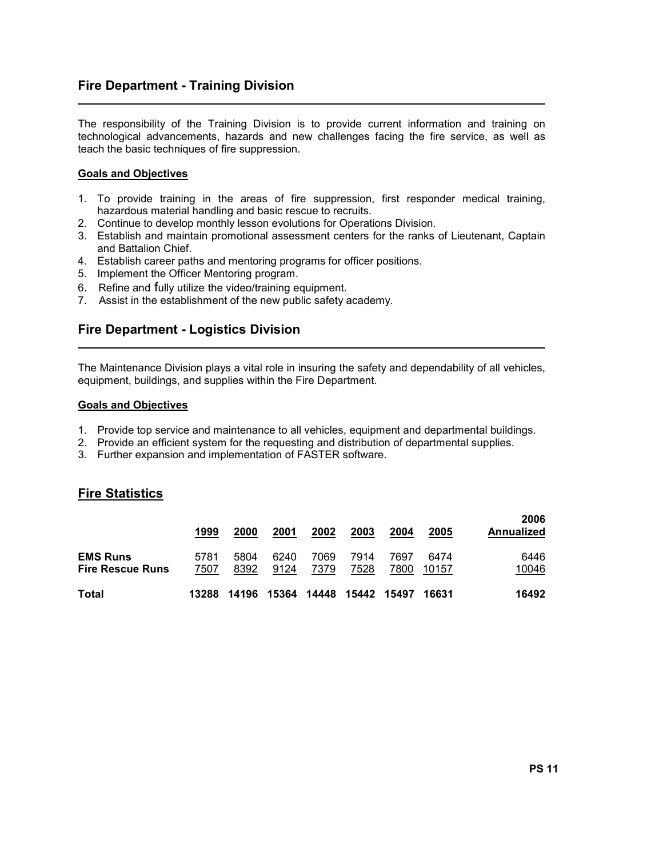## Fire Department - Training Division

The responsibility of the Training Division is to provide current information and training on technological advancements, hazards and new challenges facing the fire service, as well as teach the basic techniques of fire suppression.

#### Goals and Objectives

L

L

- 1. To provide training in the areas of fire suppression, first responder medical training, hazardous material handling and basic rescue to recruits.
- 2. Continue to develop monthly lesson evolutions for Operations Division.
- 3. Establish and maintain promotional assessment centers for the ranks of Lieutenant, Captain and Battalion Chief.
- 4. Establish career paths and mentoring programs for officer positions.
- 5. Implement the Officer Mentoring program.
- 6. Refine and fully utilize the video/training equipment.
- 7. Assist in the establishment of the new public safety academy.

### Fire Department - Logistics Division

The Maintenance Division plays a vital role in insuring the safety and dependability of all vehicles, equipment, buildings, and supplies within the Fire Department.

#### Goals and Objectives

- 1. Provide top service and maintenance to all vehicles, equipment and departmental buildings.
- 2. Provide an efficient system for the requesting and distribution of departmental supplies.
- 3. Further expansion and implementation of FASTER software.

#### Fire Statistics

|                                            | 1999         | 2000         | 2001         | 2002         | 2003         | 2004         | 2005          | 2006<br>Annualized |
|--------------------------------------------|--------------|--------------|--------------|--------------|--------------|--------------|---------------|--------------------|
| <b>EMS Runs</b><br><b>Fire Rescue Runs</b> | 5781<br>7507 | 5804<br>8392 | 6240<br>9124 | 7069<br>7379 | 7914<br>7528 | 7697<br>7800 | 6474<br>10157 | 6446<br>10046      |
| <b>Total</b>                               | 13288        | 14196        | 15364        | 14448        | 15442 15497  |              | 16631         | 16492              |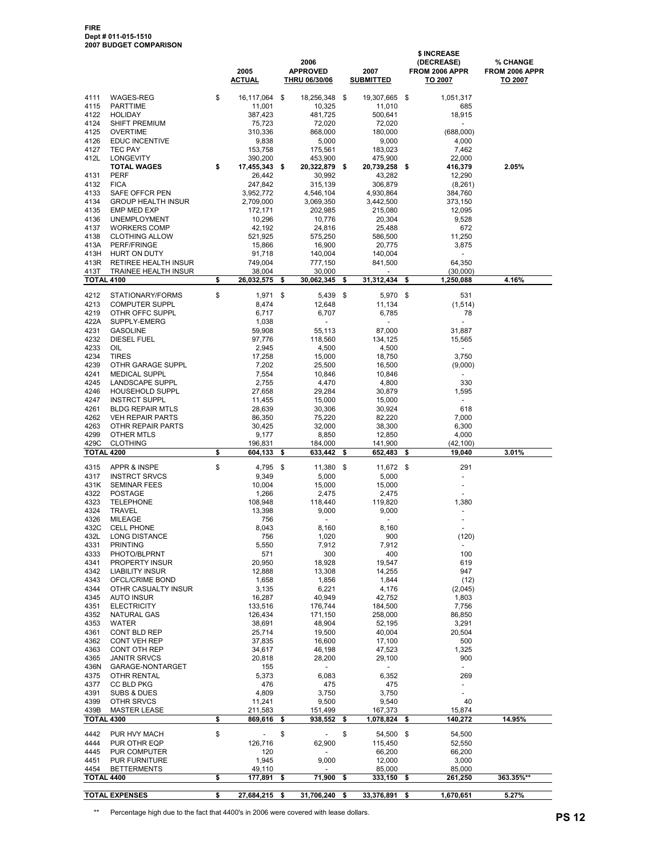|                           |                                             | 2005<br><b>ACTUAL</b>          | 2006<br><b>APPROVED</b><br><b>THRU 06/30/06</b> | 2007<br><b>SUBMITTED</b>           |      | \$ INCREASE<br>(DECREASE)<br>FROM 2006 APPR<br>TO 2007 | % CHANGE<br>FROM 2006 APPR<br>TO 2007 |
|---------------------------|---------------------------------------------|--------------------------------|-------------------------------------------------|------------------------------------|------|--------------------------------------------------------|---------------------------------------|
| 4111                      | WAGES-REG                                   | \$<br>16,117,064               | \$<br>18,256,348                                | \$<br>19,307,665                   | \$   | 1,051,317                                              |                                       |
| 4115                      | <b>PARTTIME</b>                             | 11,001                         | 10,325                                          | 11,010                             |      | 685                                                    |                                       |
| 4122<br>4124              | <b>HOLIDAY</b><br><b>SHIFT PREMIUM</b>      | 387,423<br>75,723              | 481,725<br>72,020                               | 500,641<br>72,020                  |      | 18,915                                                 |                                       |
| 4125                      | <b>OVERTIME</b>                             | 310,336                        | 868,000                                         | 180,000                            |      | (688,000)                                              |                                       |
| 4126                      | <b>EDUC INCENTIVE</b>                       | 9,838                          | 5,000                                           | 9,000                              |      | 4,000                                                  |                                       |
| 4127                      | <b>TEC PAY</b>                              | 153,758                        | 175,561<br>453,900                              | 183,023                            |      | 7,462                                                  |                                       |
| 412L                      | LONGEVITY<br><b>TOTAL WAGES</b>             | \$<br>390,200<br>17,455,343 \$ | 20,322,879 \$                                   | 475,900<br>20,739,258              | \$   | 22,000<br>416,379                                      | 2.05%                                 |
| 4131                      | <b>PERF</b>                                 | 26,442                         | 30,992                                          | 43,282                             |      | 12,290                                                 |                                       |
| 4132                      | <b>FICA</b>                                 | 247,842                        | 315,139                                         | 306,879                            |      | (8, 261)                                               |                                       |
| 4133<br>4134              | SAFE OFFCR PEN<br><b>GROUP HEALTH INSUR</b> | 3,952,772<br>2,709,000         | 4,546,104<br>3,069,350                          | 4,930,864<br>3,442,500             |      | 384,760<br>373,150                                     |                                       |
| 4135                      | EMP MED EXP                                 | 172,171                        | 202,985                                         | 215,080                            |      | 12,095                                                 |                                       |
| 4136                      | <b>UNEMPLOYMENT</b>                         | 10,296                         | 10,776                                          | 20,304                             |      | 9,528                                                  |                                       |
| 4137                      | <b>WORKERS COMP</b>                         | 42,192                         | 24,816                                          | 25,488                             |      | 672                                                    |                                       |
| 4138<br>413A              | <b>CLOTHING ALLOW</b><br>PERF/FRINGE        | 521,925<br>15,866              | 575,250<br>16,900                               | 586,500<br>20,775                  |      | 11,250<br>3,875                                        |                                       |
| 413H                      | HURT ON DUTY                                | 91,718                         | 140,004                                         | 140,004                            |      | ٠                                                      |                                       |
| 413R                      | RETIREE HEALTH INSUR                        | 749,004                        | 777,150                                         | 841,500                            |      | 64,350                                                 |                                       |
| 413T<br><b>TOTAL 4100</b> | TRAINEE HEALTH INSUR                        | \$<br>38,004<br>26,032,575     | \$<br>30,000<br>30,062,345                      | \$<br>$\blacksquare$<br>31,312,434 | \$   | (30,000)<br>1,250,088                                  | 4.16%                                 |
|                           |                                             |                                |                                                 |                                    |      |                                                        |                                       |
| 4212                      | STATIONARY/FORMS                            | \$<br>$1,971$ \$               | 5,439                                           | \$<br>5,970 \$                     |      | 531                                                    |                                       |
| 4213<br>4219              | <b>COMPUTER SUPPL</b><br>OTHR OFFC SUPPL    | 8,474<br>6,717                 | 12,648<br>6,707                                 | 11,134<br>6,785                    |      | (1, 514)<br>78                                         |                                       |
| 422A                      | SUPPLY-EMERG                                | 1,038                          | $\overline{\phantom{a}}$                        | $\blacksquare$                     |      | ÷,                                                     |                                       |
| 4231                      | <b>GASOLINE</b>                             | 59,908                         | 55,113                                          | 87,000                             |      | 31,887                                                 |                                       |
| 4232                      | <b>DIESEL FUEL</b><br><b>OIL</b>            | 97,776<br>2.945                | 118,560                                         | 134,125                            |      | 15,565                                                 |                                       |
| 4233<br>4234              | <b>TIRES</b>                                | 17,258                         | 4,500<br>15,000                                 | 4,500<br>18,750                    |      | $\blacksquare$<br>3,750                                |                                       |
| 4239                      | OTHR GARAGE SUPPL                           | 7,202                          | 25,500                                          | 16,500                             |      | (9,000)                                                |                                       |
| 4241                      | <b>MEDICAL SUPPL</b>                        | 7,554                          | 10,846                                          | 10,846                             |      | $\blacksquare$                                         |                                       |
| 4245<br>4246              | LANDSCAPE SUPPL<br><b>HOUSEHOLD SUPPL</b>   | 2,755<br>27,658                | 4,470<br>29,284                                 | 4,800<br>30,879                    |      | 330<br>1,595                                           |                                       |
| 4247                      | <b>INSTRCT SUPPL</b>                        | 11,455                         | 15,000                                          | 15,000                             |      | $\overline{\phantom{a}}$                               |                                       |
| 4261                      | <b>BLDG REPAIR MTLS</b>                     | 28,639                         | 30,306                                          | 30,924                             |      | 618                                                    |                                       |
| 4262                      | <b>VEH REPAIR PARTS</b>                     | 86,350                         | 75,220                                          | 82,220                             |      | 7,000                                                  |                                       |
| 4263<br>4299              | OTHR REPAIR PARTS<br>OTHER MTLS             | 30,425<br>9,177                | 32,000<br>8,850                                 | 38,300<br>12,850                   |      | 6,300<br>4,000                                         |                                       |
| 429C                      | <b>CLOTHING</b>                             | 196,831                        | 184,000                                         | 141,900                            |      | (42, 100)                                              |                                       |
| <b>TOTAL 4200</b>         |                                             | \$<br>604,133                  | \$<br>633,442                                   | \$<br>652,483                      | \$   | 19,040                                                 | 3.01%                                 |
| 4315                      | APPR & INSPE                                | \$<br>4,795                    | \$<br>11,380                                    | \$<br>11,672                       | -\$  | 291                                                    |                                       |
| 4317                      | <b>INSTRCT SRVCS</b>                        | 9,349                          | 5,000                                           | 5,000                              |      | $\bar{\phantom{a}}$                                    |                                       |
| 431K                      | <b>SEMINAR FEES</b>                         | 10,004                         | 15,000                                          | 15,000                             |      | $\frac{1}{2}$                                          |                                       |
| 4322<br>4323              | <b>POSTAGE</b><br><b>TELEPHONE</b>          | 1,266<br>108,948               | 2,475<br>118,440                                | 2,475<br>119,820                   |      | 1,380                                                  |                                       |
| 4324                      | <b>TRAVEL</b>                               | 13,398                         | 9,000                                           | 9,000                              |      |                                                        |                                       |
| 4326                      | <b>MILEAGE</b>                              | 756                            |                                                 |                                    |      | ÷                                                      |                                       |
| 432C<br>432L              | <b>CELL PHONE</b><br>LONG DISTANCE          | 8,043<br>756                   | 8.160<br>1,020                                  | 8,160<br>900                       |      | ÷<br>(120)                                             |                                       |
| 4331                      | <b>PRINTING</b>                             | 5,550                          | 7,912                                           | 7,912                              |      |                                                        |                                       |
| 4333                      | PHOTO/BLPRNT                                | 571                            | 300                                             | 400                                |      | 100                                                    |                                       |
| 4341<br>4342              | PROPERTY INSUR<br><b>LIABILITY INSUR</b>    | 20,950<br>12,888               | 18,928<br>13,308                                | 19,547<br>14,255                   |      | 619<br>947                                             |                                       |
| 4343                      | OFCL/CRIME BOND                             | 1,658                          | 1,856                                           | 1,844                              |      | (12)                                                   |                                       |
| 4344                      | OTHR CASUALTY INSUR                         | 3,135                          | 6,221                                           | 4,176                              |      | (2,045)                                                |                                       |
| 4345                      | <b>AUTO INSUR</b>                           | 16,287                         | 40,949                                          | 42,752                             |      | 1,803                                                  |                                       |
| 4351<br>4352              | <b>ELECTRICITY</b><br>NATURAL GAS           | 133,516<br>126,434             | 176,744<br>171,150                              | 184,500<br>258,000                 |      | 7,756<br>86,850                                        |                                       |
| 4353                      | <b>WATER</b>                                | 38,691                         | 48,904                                          | 52,195                             |      | 3,291                                                  |                                       |
| 4361                      | CONT BLD REP                                | 25,714                         | 19,500                                          | 40,004                             |      | 20,504                                                 |                                       |
| 4362<br>4363              | <b>CONT VEH REP</b><br><b>CONT OTH REP</b>  | 37,835                         | 16,600<br>46,198                                | 17,100<br>47,523                   |      | 500<br>1,325                                           |                                       |
| 4365                      | <b>JANITR SRVCS</b>                         | 34,617<br>20,818               | 28,200                                          | 29,100                             |      | 900                                                    |                                       |
| 436N                      | GARAGE-NONTARGET                            | 155                            | $\overline{\phantom{a}}$                        | $\overline{\phantom{a}}$           |      | $\blacksquare$                                         |                                       |
| 4375                      | OTHR RENTAL                                 | 5,373                          | 6,083                                           | 6,352                              |      | 269                                                    |                                       |
| 4377<br>4391              | CC BLD PKG<br><b>SUBS &amp; DUES</b>        | 476<br>4,809                   | 475<br>3,750                                    | 475<br>3,750                       |      | ٠                                                      |                                       |
| 4399                      | OTHR SRVCS                                  | 11,241                         | 9,500                                           | 9,540                              |      | 40                                                     |                                       |
| 439B                      | <b>MASTER LEASE</b>                         | 211,583                        | 151,499                                         | 167,373                            |      | 15,874                                                 |                                       |
| <b>TOTAL 4300</b>         |                                             | \$<br>869,616                  | \$<br>938,552                                   | \$<br>1,078,824                    | \$   | 140,272                                                | 14.95%                                |
| 4442                      | PUR HVY MACH                                | \$<br>$\overline{\phantom{a}}$ | \$<br>$\overline{\phantom{0}}$                  | \$<br>54,500                       | \$   | 54,500                                                 |                                       |
| 4444                      | PUR OTHR EQP                                | 126,716                        | 62,900                                          | 115,450                            |      | 52,550                                                 |                                       |
| 4445<br>4451              | PUR COMPUTER<br>PUR FURNITURE               | 120<br>1,945                   | 9,000                                           | 66,200<br>12,000                   |      | 66,200<br>3,000                                        |                                       |
| 4454                      | <b>BETTERMENTS</b>                          | 49,110                         |                                                 | 85,000                             |      | 85,000                                                 |                                       |
| <b>TOTAL 4400</b>         |                                             | \$<br>177,891                  | \$<br>71,900                                    | \$<br>333,150                      | \$   | 261,250                                                | 363.35%**                             |
|                           | <b>TOTAL EXPENSES</b>                       | \$<br>27,684,215 \$            | 31,706,240 \$                                   | 33,376,891                         | - \$ | 1,670,651                                              | 5.27%                                 |

\*\* Percentage high due to the fact that 4400's in 2006 were covered with lease dollars.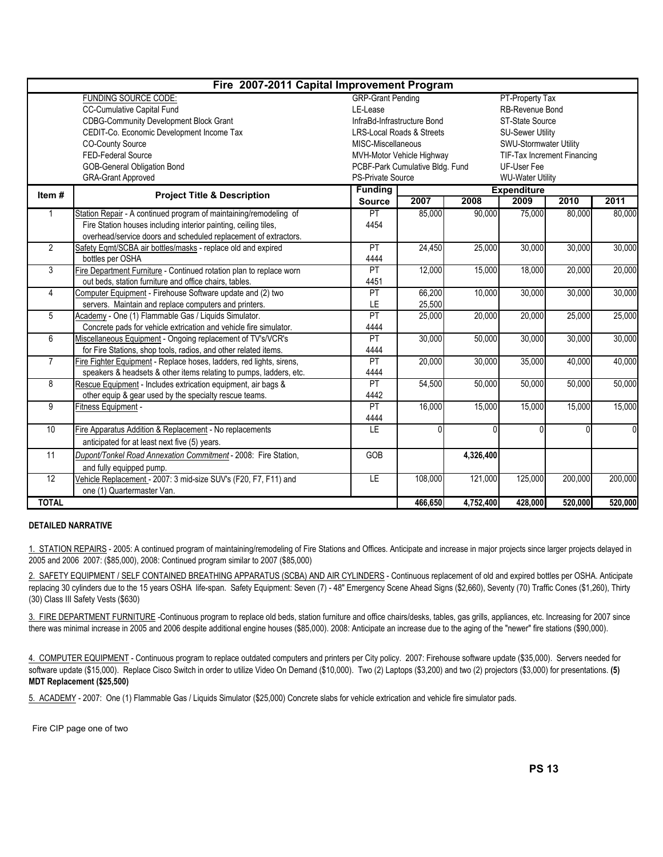|                | Fire 2007-2011 Capital Improvement Program                           |                                      |                           |           |                                    |         |          |  |  |
|----------------|----------------------------------------------------------------------|--------------------------------------|---------------------------|-----------|------------------------------------|---------|----------|--|--|
|                | <b>FUNDING SOURCE CODE:</b>                                          | <b>GRP-Grant Pending</b>             |                           |           | PT-Property Tax                    |         |          |  |  |
|                | CC-Cumulative Capital Fund                                           | LE-Lease                             |                           |           | RB-Revenue Bond                    |         |          |  |  |
|                | <b>CDBG-Community Development Block Grant</b>                        | InfraBd-Infrastructure Bond          |                           |           | ST-State Source                    |         |          |  |  |
|                | CEDIT-Co. Economic Development Income Tax                            | <b>LRS-Local Roads &amp; Streets</b> |                           |           | <b>SU-Sewer Utility</b>            |         |          |  |  |
|                | <b>CO-County Source</b>                                              | MISC-Miscellaneous                   |                           |           | SWU-Stormwater Utility             |         |          |  |  |
|                | FED-Federal Source                                                   |                                      | MVH-Motor Vehicle Highway |           | <b>TIF-Tax Increment Financing</b> |         |          |  |  |
|                | <b>GOB-General Obligation Bond</b>                                   | PCBF-Park Cumulative Bldg. Fund      |                           |           |                                    |         |          |  |  |
|                | <b>GRA-Grant Approved</b>                                            | PS-Private Source                    |                           |           | <b>WU-Water Utility</b>            |         |          |  |  |
| Item#          | <b>Project Title &amp; Description</b>                               | <b>Funding</b>                       |                           |           | <b>Expenditure</b>                 |         |          |  |  |
|                |                                                                      | <b>Source</b>                        | 2007                      | 2008      | 2009                               | 2010    | 2011     |  |  |
| 1              | Station Repair - A continued program of maintaining/remodeling of    | PT                                   | 85,000                    | 90,000    | 75,000                             | 80,000  | 80,000   |  |  |
|                | Fire Station houses including interior painting, ceiling tiles,      | 4454                                 |                           |           |                                    |         |          |  |  |
|                | overhead/service doors and scheduled replacement of extractors.      |                                      |                           |           |                                    |         |          |  |  |
| $\overline{2}$ | Safety Eqmt/SCBA air bottles/masks - replace old and expired         | PT                                   | 24,450                    | 25,000    | 30,000                             | 30,000  | 30,000   |  |  |
|                | bottles per OSHA                                                     | 4444                                 |                           |           |                                    |         |          |  |  |
| 3              | Fire Department Furniture - Continued rotation plan to replace worn  | PT                                   | 12,000                    | 15,000    | 18,000                             | 20,000  | 20,000   |  |  |
|                | out beds, station furniture and office chairs, tables.               | 4451                                 |                           |           |                                    |         |          |  |  |
| $\overline{4}$ | Computer Equipment - Firehouse Software update and (2) two           | PT                                   | 66,200                    | 10,000    | 30,000                             | 30,000  | 30,000   |  |  |
|                | servers. Maintain and replace computers and printers.                | LE                                   | 25,500                    |           |                                    |         |          |  |  |
| 5              | Academy - One (1) Flammable Gas / Liquids Simulator.                 | PT                                   | 25,000                    | 20,000    | 20,000                             | 25,000  | 25,000   |  |  |
|                | Concrete pads for vehicle extrication and vehicle fire simulator.    | 4444                                 |                           |           |                                    |         |          |  |  |
| 6              | Miscellaneous Equipment - Ongoing replacement of TV's/VCR's          | PT                                   | 30,000                    | 50,000    | 30,000                             | 30,000  | 30,000   |  |  |
|                | for Fire Stations, shop tools, radios, and other related items.      | 4444                                 |                           |           |                                    |         |          |  |  |
| $\overline{7}$ | Fire Fighter Equipment - Replace hoses, ladders, red lights, sirens, | PT                                   | 20,000                    | 30,000    | 35,000                             | 40,000  | 40,000   |  |  |
|                | speakers & headsets & other items relating to pumps, ladders, etc.   | 4444                                 |                           |           |                                    |         |          |  |  |
| 8              | Rescue Equipment - Includes extrication equipment, air bags &        | PT                                   | 54,500                    | 50,000    | 50,000                             | 50,000  | 50,000   |  |  |
|                | other equip & gear used by the specialty rescue teams.               | 4442                                 |                           |           |                                    |         |          |  |  |
| $\overline{9}$ | Fitness Equipment -                                                  | PT                                   | 16,000                    | 15,000    | 15,000                             | 15,000  | 15,000   |  |  |
|                |                                                                      | 4444                                 |                           |           |                                    |         |          |  |  |
| 10             | Fire Apparatus Addition & Replacement - No replacements              | E                                    | 0                         | $\cap$    |                                    | Λ       | $\Omega$ |  |  |
|                | anticipated for at least next five (5) years.                        |                                      |                           |           |                                    |         |          |  |  |
| 11             | Dupont/Tonkel Road Annexation Commitment - 2008: Fire Station,       | GOB                                  |                           | 4,326,400 |                                    |         |          |  |  |
|                | and fully equipped pump.                                             |                                      |                           |           |                                    |         |          |  |  |
| 12             | Vehicle Replacement - 2007: 3 mid-size SUV's (F20, F7, F11) and      | LE                                   | 108,000                   | 121,000   | 125,000                            | 200,000 | 200,000  |  |  |
|                | one (1) Quartermaster Van.                                           |                                      |                           |           |                                    |         |          |  |  |
| <b>TOTAL</b>   |                                                                      |                                      | 466,650                   | 4,752,400 | 428,000                            | 520,000 | 520,000  |  |  |

#### DETAILED NARRATIVE

1. STATION REPAIRS - 2005: A continued program of maintaining/remodeling of Fire Stations and Offices. Anticipate and increase in major projects since larger projects delayed in 2005 and 2006 2007: (\$85,000), 2008: Continued program similar to 2007 (\$85,000)

2. SAFETY EQUIPMENT / SELF CONTAINED BREATHING APPARATUS (SCBA) AND AIR CYLINDERS - Continuous replacement of old and expired bottles per OSHA. Anticipate replacing 30 cylinders due to the 15 years OSHA life-span. Safety Equipment: Seven (7) - 48" Emergency Scene Ahead Signs (\$2,660), Seventy (70) Traffic Cones (\$1,260), Thirty (30) Class III Safety Vests (\$630)

3. FIRE DEPARTMENT FURNITURE -Continuous program to replace old beds, station furniture and office chairs/desks, tables, gas grills, appliances, etc. Increasing for 2007 since there was minimal increase in 2005 and 2006 despite additional engine houses (\$85,000). 2008: Anticipate an increase due to the aging of the "newer" fire stations (\$90,000).

4. COMPUTER EQUIPMENT - Continuous program to replace outdated computers and printers per City policy. 2007: Firehouse software update (\$35,000). Servers needed for software update (\$15,000). Replace Cisco Switch in order to utilize Video On Demand (\$10,000). Two (2) Laptops (\$3,200) and two (2) projectors (\$3,000) for presentations. (5) MDT Replacement (\$25,500)

5. ACADEMY - 2007: One (1) Flammable Gas / Liquids Simulator (\$25,000) Concrete slabs for vehicle extrication and vehicle fire simulator pads.

Fire CIP page one of two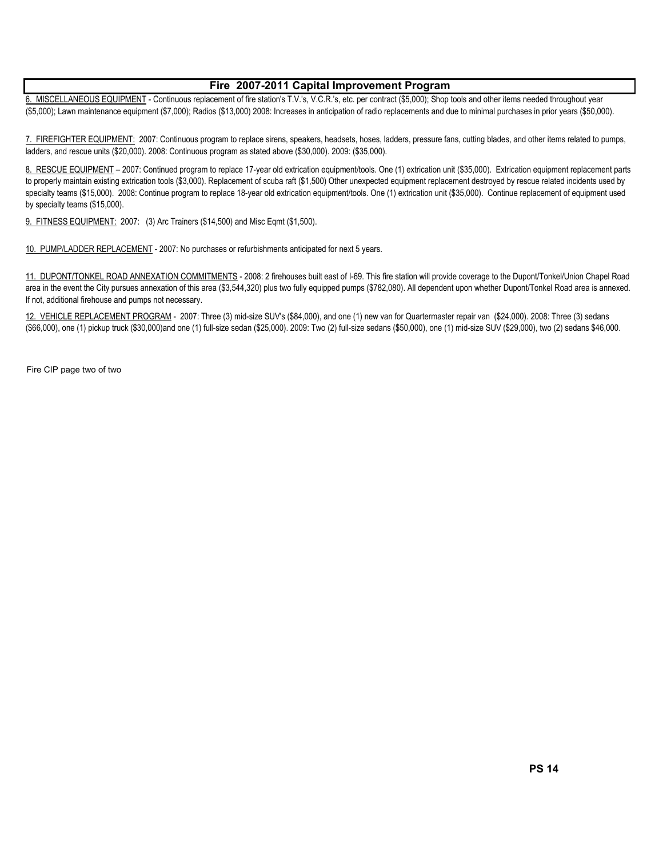#### Fire 2007-2011 Capital Improvement Program

6. MISCELLANEOUS EQUIPMENT - Continuous replacement of fire station's T.V.'s, V.C.R.'s, etc. per contract (\$5,000); Shop tools and other items needed throughout year (\$5,000); Lawn maintenance equipment (\$7,000); Radios (\$13,000) 2008: Increases in anticipation of radio replacements and due to minimal purchases in prior years (\$50,000).

7. FIREFIGHTER EQUIPMENT: 2007: Continuous program to replace sirens, speakers, headsets, hoses, ladders, pressure fans, cutting blades, and other items related to pumps, ladders, and rescue units (\$20,000). 2008: Continuous program as stated above (\$30,000). 2009: (\$35,000).

8. RESCUE EQUIPMENT – 2007: Continued program to replace 17-year old extrication equipment/tools. One (1) extrication unit (\$35,000). Extrication equipment replacement parts to properly maintain existing extrication tools (\$3,000). Replacement of scuba raft (\$1,500) Other unexpected equipment replacement destroyed by rescue related incidents used by specialty teams (\$15,000). 2008: Continue program to replace 18-year old extrication equipment/tools. One (1) extrication unit (\$35,000). Continue replacement of equipment used by specialty teams (\$15,000).

9. FITNESS EQUIPMENT: 2007: (3) Arc Trainers (\$14,500) and Misc Eqmt (\$1,500).

10. PUMP/LADDER REPLACEMENT - 2007: No purchases or refurbishments anticipated for next 5 years.

11. DUPONT/TONKEL ROAD ANNEXATION COMMITMENTS - 2008: 2 firehouses built east of I-69. This fire station will provide coverage to the Dupont/Tonkel/Union Chapel Road area in the event the City pursues annexation of this area (\$3,544,320) plus two fully equipped pumps (\$782,080). All dependent upon whether Dupont/Tonkel Road area is annexed. If not, additional firehouse and pumps not necessary.

12. VEHICLE REPLACEMENT PROGRAM - 2007: Three (3) mid-size SUV's (\$84,000), and one (1) new van for Quartermaster repair van (\$24,000). 2008: Three (3) sedans (\$66,000), one (1) pickup truck (\$30,000)and one (1) full-size sedan (\$25,000). 2009: Two (2) full-size sedans (\$50,000), one (1) mid-size SUV (\$29,000), two (2) sedans \$46,000.

Fire CIP page two of two